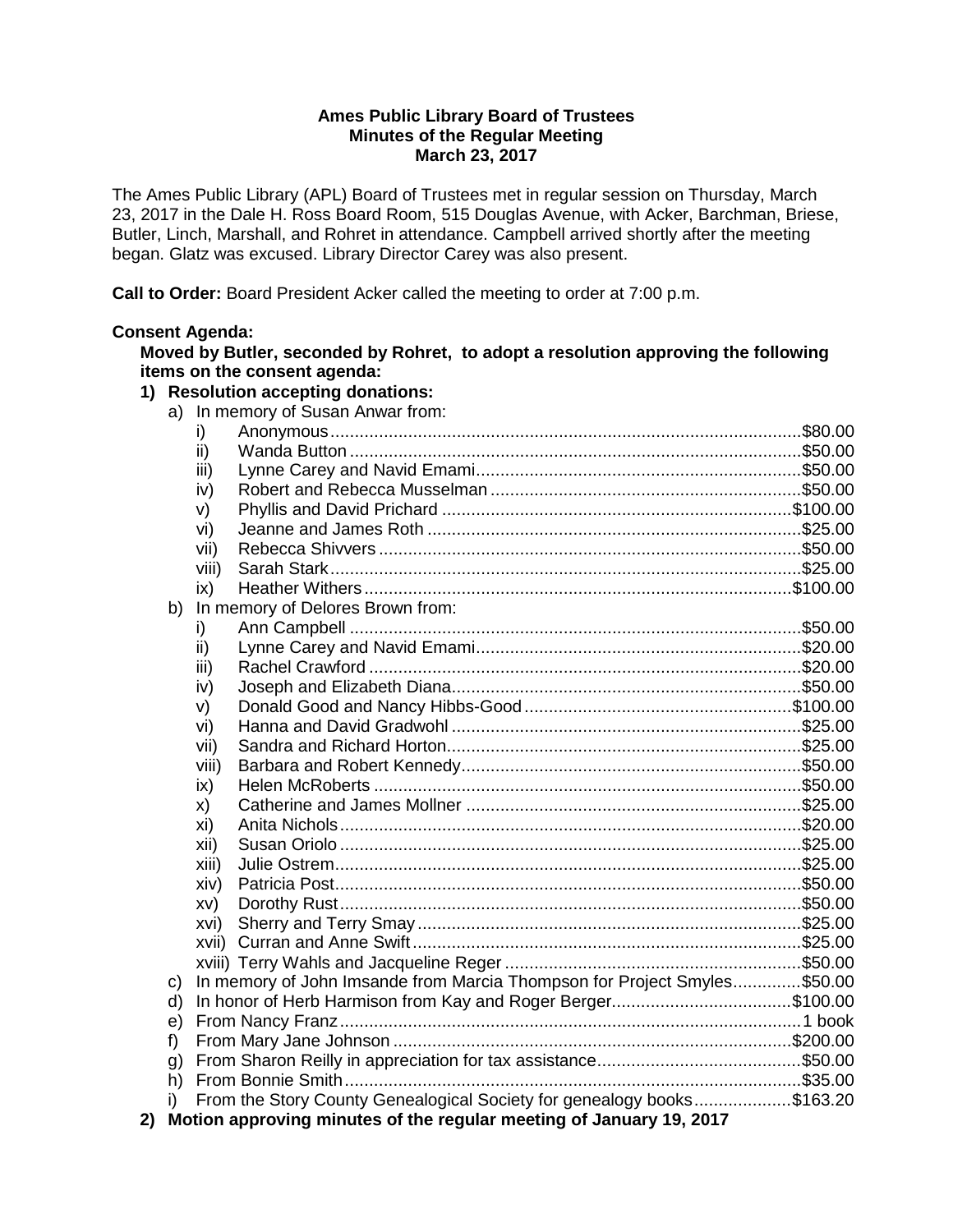### **Ames Public Library Board of Trustees Minutes of the Regular Meeting March 23, 2017**

The Ames Public Library (APL) Board of Trustees met in regular session on Thursday, March 23, 2017 in the Dale H. Ross Board Room, 515 Douglas Avenue, with Acker, Barchman, Briese, Butler, Linch, Marshall, and Rohret in attendance. Campbell arrived shortly after the meeting began. Glatz was excused. Library Director Carey was also present.

**Call to Order:** Board President Acker called the meeting to order at 7:00 p.m.

# **Consent Agenda:**

**Moved by Butler, seconded by Rohret, to adopt a resolution approving the following items on the consent agenda:**

## **1) Resolution accepting donations:**

a) In memory of Susan Anwar from:

|                                                                        | i)    |                                                                          |  |
|------------------------------------------------------------------------|-------|--------------------------------------------------------------------------|--|
|                                                                        | ii)   |                                                                          |  |
|                                                                        | iii)  |                                                                          |  |
|                                                                        | iv)   |                                                                          |  |
|                                                                        | V)    |                                                                          |  |
|                                                                        | vi)   |                                                                          |  |
|                                                                        | vii)  |                                                                          |  |
|                                                                        | viii) |                                                                          |  |
|                                                                        | ix)   |                                                                          |  |
| In memory of Delores Brown from:<br>b)                                 |       |                                                                          |  |
|                                                                        | i)    |                                                                          |  |
|                                                                        | ii)   |                                                                          |  |
|                                                                        | iii)  |                                                                          |  |
|                                                                        | iv)   |                                                                          |  |
|                                                                        | V)    |                                                                          |  |
|                                                                        | vi)   |                                                                          |  |
|                                                                        | vii)  |                                                                          |  |
|                                                                        | viii) |                                                                          |  |
|                                                                        | ix)   |                                                                          |  |
|                                                                        | X)    |                                                                          |  |
|                                                                        | xi)   |                                                                          |  |
|                                                                        | xii)  |                                                                          |  |
|                                                                        | xiii) |                                                                          |  |
|                                                                        | xiv)  |                                                                          |  |
|                                                                        | XV)   |                                                                          |  |
|                                                                        | xvi)  |                                                                          |  |
|                                                                        | xvii) |                                                                          |  |
|                                                                        |       |                                                                          |  |
| c)                                                                     |       | In memory of John Imsande from Marcia Thompson for Project Smyles\$50.00 |  |
|                                                                        | d)    |                                                                          |  |
| e)                                                                     |       |                                                                          |  |
| f)                                                                     |       |                                                                          |  |
| g)                                                                     |       |                                                                          |  |
| h)                                                                     |       |                                                                          |  |
| i)                                                                     |       | From the Story County Genealogical Society for genealogy books\$163.20   |  |
| 2) Motion approving minutes of the regular meeting of January 19, 2017 |       |                                                                          |  |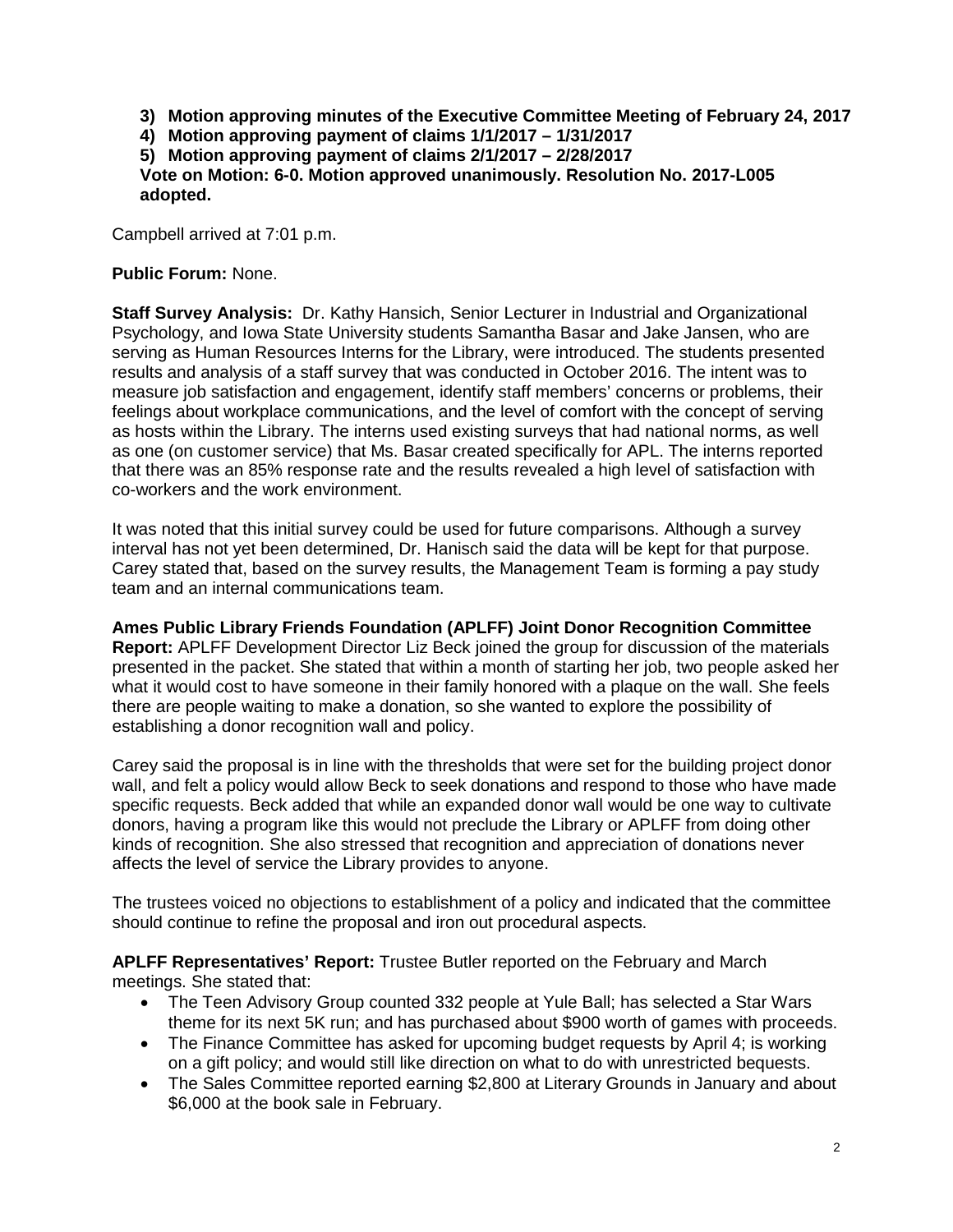- **3) Motion approving minutes of the Executive Committee Meeting of February 24, 2017**
- **4) Motion approving payment of claims 1/1/2017 – 1/31/2017**

**5) Motion approving payment of claims 2/1/2017 – 2/28/2017**

**Vote on Motion: 6-0. Motion approved unanimously. Resolution No. 2017-L005 adopted.**

Campbell arrived at 7:01 p.m.

## **Public Forum:** None.

**Staff Survey Analysis:** Dr. Kathy Hansich, Senior Lecturer in Industrial and Organizational Psychology, and Iowa State University students Samantha Basar and Jake Jansen, who are serving as Human Resources Interns for the Library, were introduced. The students presented results and analysis of a staff survey that was conducted in October 2016. The intent was to measure job satisfaction and engagement, identify staff members' concerns or problems, their feelings about workplace communications, and the level of comfort with the concept of serving as hosts within the Library. The interns used existing surveys that had national norms, as well as one (on customer service) that Ms. Basar created specifically for APL. The interns reported that there was an 85% response rate and the results revealed a high level of satisfaction with co-workers and the work environment.

It was noted that this initial survey could be used for future comparisons. Although a survey interval has not yet been determined, Dr. Hanisch said the data will be kept for that purpose. Carey stated that, based on the survey results, the Management Team is forming a pay study team and an internal communications team.

**Ames Public Library Friends Foundation (APLFF) Joint Donor Recognition Committee Report:** APLFF Development Director Liz Beck joined the group for discussion of the materials presented in the packet. She stated that within a month of starting her job, two people asked her what it would cost to have someone in their family honored with a plaque on the wall. She feels there are people waiting to make a donation, so she wanted to explore the possibility of establishing a donor recognition wall and policy.

Carey said the proposal is in line with the thresholds that were set for the building project donor wall, and felt a policy would allow Beck to seek donations and respond to those who have made specific requests. Beck added that while an expanded donor wall would be one way to cultivate donors, having a program like this would not preclude the Library or APLFF from doing other kinds of recognition. She also stressed that recognition and appreciation of donations never affects the level of service the Library provides to anyone.

The trustees voiced no objections to establishment of a policy and indicated that the committee should continue to refine the proposal and iron out procedural aspects.

**APLFF Representatives' Report:** Trustee Butler reported on the February and March meetings. She stated that:

- The Teen Advisory Group counted 332 people at Yule Ball; has selected a Star Wars theme for its next 5K run; and has purchased about \$900 worth of games with proceeds.
- The Finance Committee has asked for upcoming budget requests by April 4; is working on a gift policy; and would still like direction on what to do with unrestricted bequests.
- The Sales Committee reported earning \$2,800 at Literary Grounds in January and about \$6,000 at the book sale in February.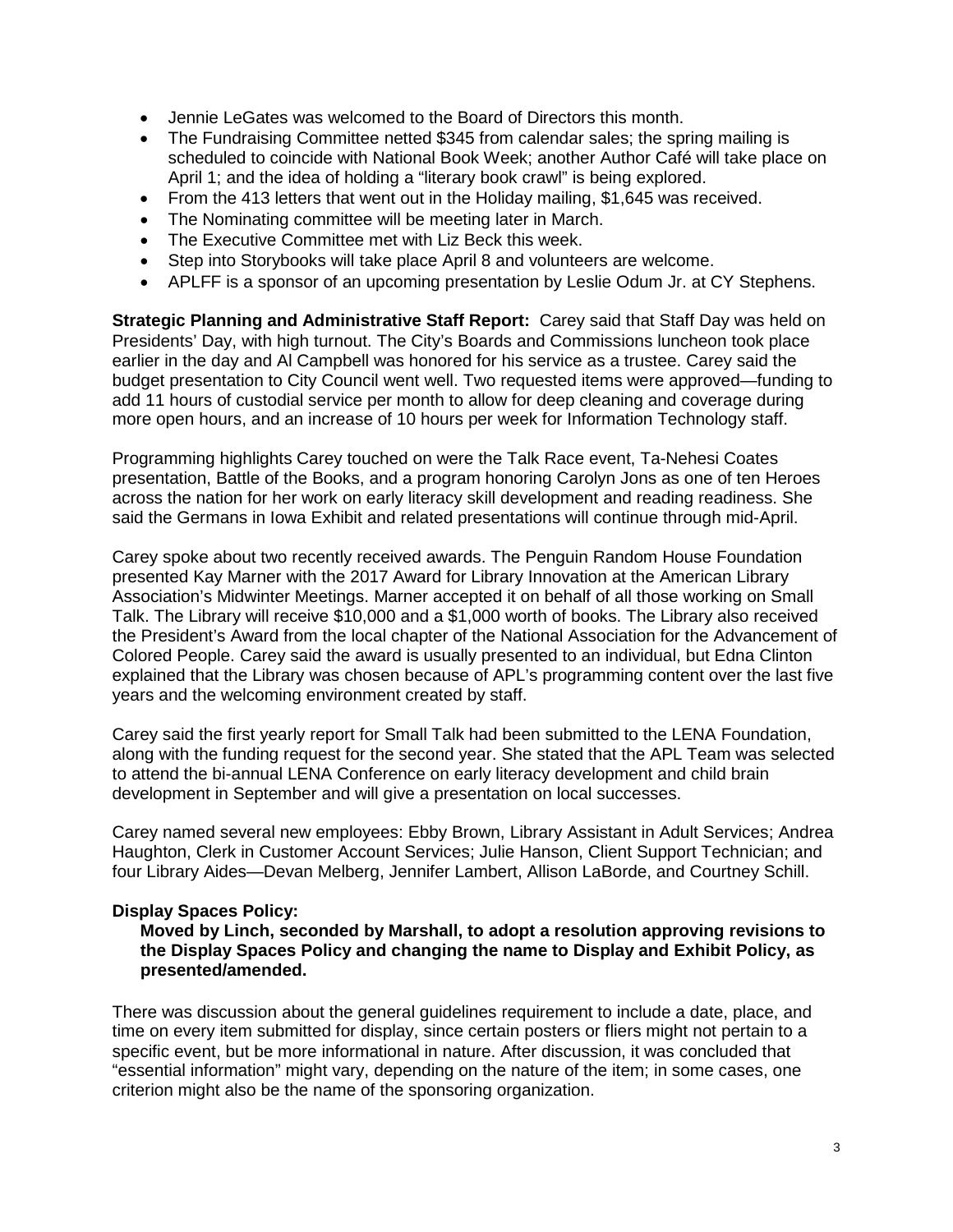- Jennie LeGates was welcomed to the Board of Directors this month.
- The Fundraising Committee netted \$345 from calendar sales; the spring mailing is scheduled to coincide with National Book Week; another Author Café will take place on April 1; and the idea of holding a "literary book crawl" is being explored.
- From the 413 letters that went out in the Holiday mailing, \$1,645 was received.
- The Nominating committee will be meeting later in March.
- The Executive Committee met with Liz Beck this week.
- Step into Storybooks will take place April 8 and volunteers are welcome.
- APLFF is a sponsor of an upcoming presentation by Leslie Odum Jr. at CY Stephens.

**Strategic Planning and Administrative Staff Report:** Carey said that Staff Day was held on Presidents' Day, with high turnout. The City's Boards and Commissions luncheon took place earlier in the day and Al Campbell was honored for his service as a trustee. Carey said the budget presentation to City Council went well. Two requested items were approved—funding to add 11 hours of custodial service per month to allow for deep cleaning and coverage during more open hours, and an increase of 10 hours per week for Information Technology staff.

Programming highlights Carey touched on were the Talk Race event, Ta-Nehesi Coates presentation, Battle of the Books, and a program honoring Carolyn Jons as one of ten Heroes across the nation for her work on early literacy skill development and reading readiness. She said the Germans in Iowa Exhibit and related presentations will continue through mid-April.

Carey spoke about two recently received awards. The Penguin Random House Foundation presented Kay Marner with the 2017 Award for Library Innovation at the American Library Association's Midwinter Meetings. Marner accepted it on behalf of all those working on Small Talk. The Library will receive \$10,000 and a \$1,000 worth of books. The Library also received the President's Award from the local chapter of the National Association for the Advancement of Colored People. Carey said the award is usually presented to an individual, but Edna Clinton explained that the Library was chosen because of APL's programming content over the last five years and the welcoming environment created by staff.

Carey said the first yearly report for Small Talk had been submitted to the LENA Foundation, along with the funding request for the second year. She stated that the APL Team was selected to attend the bi-annual LENA Conference on early literacy development and child brain development in September and will give a presentation on local successes.

Carey named several new employees: Ebby Brown, Library Assistant in Adult Services; Andrea Haughton, Clerk in Customer Account Services; Julie Hanson, Client Support Technician; and four Library Aides—Devan Melberg, Jennifer Lambert, Allison LaBorde, and Courtney Schill.

### **Display Spaces Policy:**

**Moved by Linch, seconded by Marshall, to adopt a resolution approving revisions to the Display Spaces Policy and changing the name to Display and Exhibit Policy, as presented/amended.**

There was discussion about the general guidelines requirement to include a date, place, and time on every item submitted for display, since certain posters or fliers might not pertain to a specific event, but be more informational in nature. After discussion, it was concluded that "essential information" might vary, depending on the nature of the item; in some cases, one criterion might also be the name of the sponsoring organization.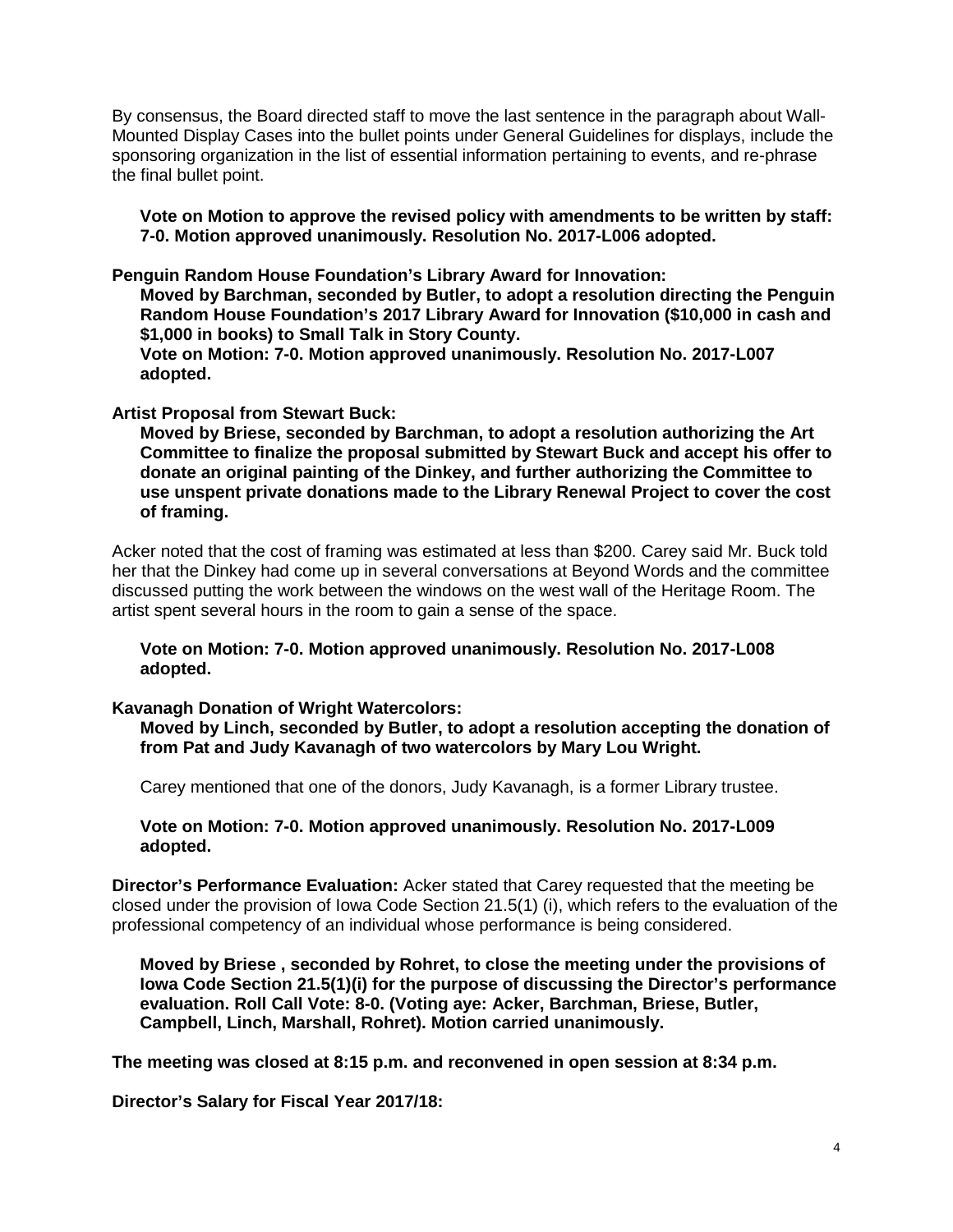By consensus, the Board directed staff to move the last sentence in the paragraph about Wall-Mounted Display Cases into the bullet points under General Guidelines for displays, include the sponsoring organization in the list of essential information pertaining to events, and re-phrase the final bullet point.

**Vote on Motion to approve the revised policy with amendments to be written by staff: 7-0. Motion approved unanimously. Resolution No. 2017-L006 adopted.**

**Penguin Random House Foundation's Library Award for Innovation:** 

**Moved by Barchman, seconded by Butler, to adopt a resolution directing the Penguin Random House Foundation's 2017 Library Award for Innovation (\$10,000 in cash and \$1,000 in books) to Small Talk in Story County.**

**Vote on Motion: 7-0. Motion approved unanimously. Resolution No. 2017-L007 adopted.**

#### **Artist Proposal from Stewart Buck:**

**Moved by Briese, seconded by Barchman, to adopt a resolution authorizing the Art Committee to finalize the proposal submitted by Stewart Buck and accept his offer to donate an original painting of the Dinkey, and further authorizing the Committee to use unspent private donations made to the Library Renewal Project to cover the cost of framing.**

Acker noted that the cost of framing was estimated at less than \$200. Carey said Mr. Buck told her that the Dinkey had come up in several conversations at Beyond Words and the committee discussed putting the work between the windows on the west wall of the Heritage Room. The artist spent several hours in the room to gain a sense of the space.

**Vote on Motion: 7-0. Motion approved unanimously. Resolution No. 2017-L008 adopted.**

#### **Kavanagh Donation of Wright Watercolors:**

**Moved by Linch, seconded by Butler, to adopt a resolution accepting the donation of from Pat and Judy Kavanagh of two watercolors by Mary Lou Wright.**

Carey mentioned that one of the donors, Judy Kavanagh, is a former Library trustee.

**Vote on Motion: 7-0. Motion approved unanimously. Resolution No. 2017-L009 adopted.**

**Director's Performance Evaluation:** Acker stated that Carey requested that the meeting be closed under the provision of Iowa Code Section 21.5(1) (i), which refers to the evaluation of the professional competency of an individual whose performance is being considered.

**Moved by Briese , seconded by Rohret, to close the meeting under the provisions of Iowa Code Section 21.5(1)(i) for the purpose of discussing the Director's performance evaluation. Roll Call Vote: 8-0. (Voting aye: Acker, Barchman, Briese, Butler, Campbell, Linch, Marshall, Rohret). Motion carried unanimously.** 

**The meeting was closed at 8:15 p.m. and reconvened in open session at 8:34 p.m.** 

**Director's Salary for Fiscal Year 2017/18:**